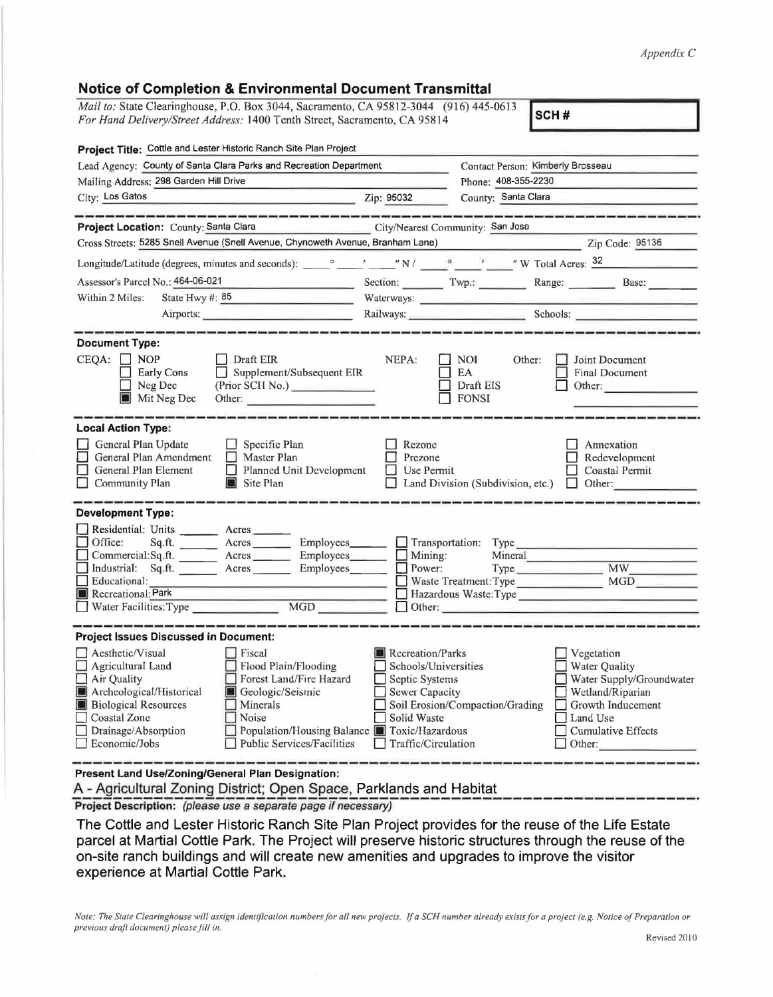## *Appendix C*

| <b>Notice of Completion &amp; Environmental Document Transmittal</b>                                                                                                                                                                                                                                                                                                              |                                                                                                                    |                                                                                                                                                                                                                                |                                                                                                                                                                                                                                |  |  |  |
|-----------------------------------------------------------------------------------------------------------------------------------------------------------------------------------------------------------------------------------------------------------------------------------------------------------------------------------------------------------------------------------|--------------------------------------------------------------------------------------------------------------------|--------------------------------------------------------------------------------------------------------------------------------------------------------------------------------------------------------------------------------|--------------------------------------------------------------------------------------------------------------------------------------------------------------------------------------------------------------------------------|--|--|--|
| Mail to: State Clearinghouse, P.O. Box 3044, Sacramento, CA 95812-3044 (916) 445-0613<br>SCH#<br>For Hand Delivery/Street Address: 1400 Tenth Street, Sacramento, CA 95814                                                                                                                                                                                                        |                                                                                                                    |                                                                                                                                                                                                                                |                                                                                                                                                                                                                                |  |  |  |
| Project Title: Cottle and Lester Historic Ranch Site Plan Project                                                                                                                                                                                                                                                                                                                 |                                                                                                                    |                                                                                                                                                                                                                                |                                                                                                                                                                                                                                |  |  |  |
| Lead Agency: County of Santa Clara Parks and Recreation Department                                                                                                                                                                                                                                                                                                                |                                                                                                                    | Contact Person: Kimberly Brosseau                                                                                                                                                                                              |                                                                                                                                                                                                                                |  |  |  |
| Mailing Address: 298 Garden Hill Drive                                                                                                                                                                                                                                                                                                                                            |                                                                                                                    | Phone: 408-355-2230                                                                                                                                                                                                            |                                                                                                                                                                                                                                |  |  |  |
| City: Los Gatos<br>$\mathbb{Z}$ ip: 95032                                                                                                                                                                                                                                                                                                                                         |                                                                                                                    | County: Santa Clara                                                                                                                                                                                                            |                                                                                                                                                                                                                                |  |  |  |
| Project Location: County: Santa Clara                                                                                                                                                                                                                                                                                                                                             | City/Nearest Community: San Jose                                                                                   |                                                                                                                                                                                                                                |                                                                                                                                                                                                                                |  |  |  |
| Cross Streets: 5285 Snell Avenue (Snell Avenue, Chynoweth Avenue, Branham Lane)                                                                                                                                                                                                                                                                                                   |                                                                                                                    |                                                                                                                                                                                                                                | Zip Code: 95136                                                                                                                                                                                                                |  |  |  |
|                                                                                                                                                                                                                                                                                                                                                                                   |                                                                                                                    |                                                                                                                                                                                                                                |                                                                                                                                                                                                                                |  |  |  |
| Assessor's Parcel No.: 464-06-021                                                                                                                                                                                                                                                                                                                                                 |                                                                                                                    |                                                                                                                                                                                                                                | Section: Twp.: Range: Base: Base:                                                                                                                                                                                              |  |  |  |
| State Hwy #: 85<br>Within 2 Miles:<br>and the company of the company of the company of the company of the company of the company of the company of the company of the company of the company of the company of the company of the company of the company of the comp                                                                                                              |                                                                                                                    |                                                                                                                                                                                                                                | Waterways: New York Change and Change and Change and Change and Change and Change and Change and Change and Change and Change and Change and Change and Change and Change and Change and Change and Change and Change and Chan |  |  |  |
| Airports:                                                                                                                                                                                                                                                                                                                                                                         |                                                                                                                    |                                                                                                                                                                                                                                | Railways: Schools: Schools:                                                                                                                                                                                                    |  |  |  |
| <b>Document Type:</b><br>$CEQA: \Box NP$<br>Draft EIR<br>Supplement/Subsequent EIR<br>Early Cons<br>(Prior SCH No.)<br>Neg Dec<br>Mit Neg Dec<br>Other:                                                                                                                                                                                                                           | NEPA:                                                                                                              | NOI<br>Other:<br>EA<br>Draft EIS<br><b>FONSI</b>                                                                                                                                                                               | Joint Document<br>Final Document<br>Other:                                                                                                                                                                                     |  |  |  |
| <b>Local Action Type:</b><br>General Plan Update<br>Specific Plan<br>General Plan Amendment<br>$\Box$ Master Plan<br>General Plan Element<br>Planned Unit Development<br>Community Plan<br>Site Plan                                                                                                                                                                              | Rezone<br>Prezone<br>Use Permit                                                                                    | Land Division (Subdivision, etc.)                                                                                                                                                                                              | Annexation<br>Redevelopment<br>Coastal Permit<br>Other:<br>$\Box$                                                                                                                                                              |  |  |  |
| <b>Development Type:</b>                                                                                                                                                                                                                                                                                                                                                          |                                                                                                                    |                                                                                                                                                                                                                                |                                                                                                                                                                                                                                |  |  |  |
| Residential: Units ________ Acres ______                                                                                                                                                                                                                                                                                                                                          |                                                                                                                    |                                                                                                                                                                                                                                |                                                                                                                                                                                                                                |  |  |  |
| Office:<br>Acres<br>Commercial:Sq.ft. _________ Acres __________ Employees________                                                                                                                                                                                                                                                                                                | $Employes \_$ $\Box$ Transportation:<br>Mining:<br>니                                                               | Mineral                                                                                                                                                                                                                        | Type Type and the contract of the contract of the contract of the contract of the contract of the contract of the contract of the contract of the contract of the contract of the contract of the contract of the contract of  |  |  |  |
| Industrial: Sq.ft. _______ Acres<br>Employees________                                                                                                                                                                                                                                                                                                                             | Power:                                                                                                             |                                                                                                                                                                                                                                | Type MW                                                                                                                                                                                                                        |  |  |  |
| Educational:                                                                                                                                                                                                                                                                                                                                                                      |                                                                                                                    | Waste Treatment: Type                                                                                                                                                                                                          | MGD                                                                                                                                                                                                                            |  |  |  |
| Recreational: Park<br>$\overline{MGD}$<br>Water Facilities: Type                                                                                                                                                                                                                                                                                                                  |                                                                                                                    | Other: and the contract of the contract of the contract of the contract of the contract of the contract of the contract of the contract of the contract of the contract of the contract of the contract of the contract of the | Hazardous Waste: Type                                                                                                                                                                                                          |  |  |  |
|                                                                                                                                                                                                                                                                                                                                                                                   |                                                                                                                    |                                                                                                                                                                                                                                |                                                                                                                                                                                                                                |  |  |  |
| <b>Project Issues Discussed in Document:</b>                                                                                                                                                                                                                                                                                                                                      |                                                                                                                    |                                                                                                                                                                                                                                |                                                                                                                                                                                                                                |  |  |  |
| Aesthetic/Visual<br>Fiscal<br>Agricultural Land<br>Flood Plain/Flooding<br>$\Box$ Air Quality<br>Forest Land/Fire Hazard<br>Archeological/Historical<br>Geologic/Seismic<br><b>Biological Resources</b><br>Minerals<br>Coastal Zone<br>Noise<br>Drainage/Absorption<br>Population/Housing Balance <b>In</b> Toxic/Hazardous<br>Economic/Jobs<br><b>Public Services/Facilities</b> | Recreation/Parks<br>Schools/Universities<br>Septic Systems<br>Sewer Capacity<br>Solid Waste<br>Traffic/Circulation | Soil Erosion/Compaction/Grading                                                                                                                                                                                                | Vegetation<br><b>Water Quality</b><br>Water Supply/Groundwater<br>Wetland/Riparian<br>Growth Inducement<br>Land Use<br><b>Cumulative Effects</b><br>Other:                                                                     |  |  |  |

**Present Land Use/Zoning/General Plan Designation:** 

A - Agricultural Zoning District; Open Space, Parklands and Habitat Project Description: (please use a separate page if necessary)

The Cottle and Lester Historic Ranch Site Plan Project provides for the reuse of the Life Estate parcel at Martial Cottle Park. The Project will preserve historic structures through the reuse of the on-site ranch buildings and will create new amenities and upgrades to improve the visitor experience at Martial Cottle Park.

*Note: The State Clearinghouse will assign identification numbers for all new projects. If a SCH number already exists for a project (e.g. Notice of Preparation or previous draft document) please fill in.*